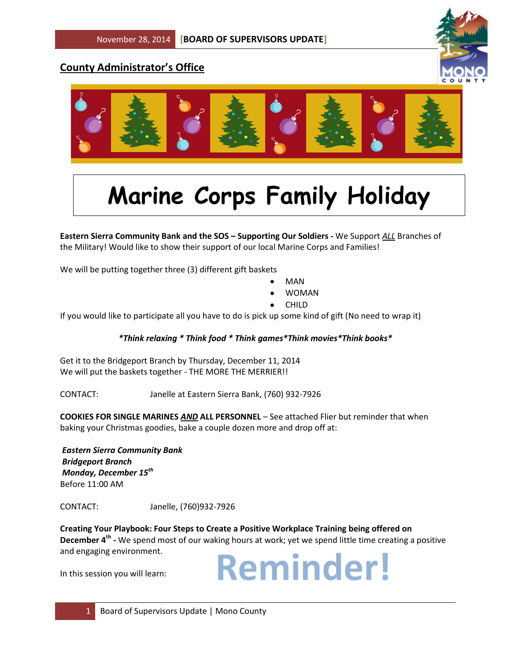# **County Administrator's Office**





# **Marine Corps Family Holiday**

**Pastern Sierra Community Bank and the SOS – Supporting Our Soldiers - We Support** *ALL* **Branches of** the Military! Would like to show their support of our local Marine Corps and Families!

We will be putting together three (3) different gift baskets

- MAN
- WOMAN
- CHILD

If you would like to participate all you have to do is pick up some kind of gift (No need to wrap it)

#### *\*Think relaxing \* Think food \* Think games\*Think movies\*Think books\**

Get it to the Bridgeport Branch by Thursday, December 11, 2014 We will put the baskets together - THE MORE THE MERRIER!!

CONTACT: Janelle at Eastern Sierra Bank, (760) 932-7926

**COOKIES FOR SINGLE MARINES** *AND* **ALL PERSONNEL** – See attached Flier but reminder that when baking your Christmas goodies, bake a couple dozen more and drop off at:

*Eastern Sierra Community Bank Bridgeport Branch Monday, December 15th* Before 11:00 AM

CONTACT: Janelle, (760)932-7926

**Creating Your Playbook: Four Steps to Create a Positive Workplace Training being offered on December 4th -** We spend most of our waking hours at work; yet we spend little time creating a positive and engaging environment.

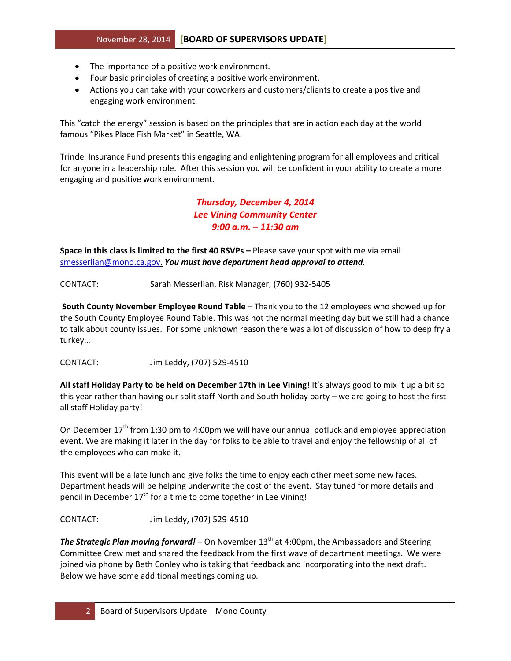- The importance of a positive work environment.
- Four basic principles of creating a positive work environment.
- Actions you can take with your coworkers and customers/clients to create a positive and engaging work environment.

This "catch the energy" session is based on the principles that are in action each day at the world famous "Pikes Place Fish Market" in Seattle, WA.

Trindel Insurance Fund presents this engaging and enlightening program for all employees and critical for anyone in a leadership role. After this session you will be confident in your ability to create a more engaging and positive work environment.

> *Thursday, December 4, 2014 Lee Vining Community Center 9:00 a.m. – 11:30 am*

**Space in this class is limited to the first 40 RSVPs –** Please save your spot with me via email [smesserlian@mono.ca.gov.](mailto:smesserlian@mono.ca.gov) *You must have department head approval to attend.*

CONTACT: Sarah Messerlian, Risk Manager, (760) 932-5405

**South County November Employee Round Table** – Thank you to the 12 employees who showed up for the South County Employee Round Table. This was not the normal meeting day but we still had a chance to talk about county issues. For some unknown reason there was a lot of discussion of how to deep fry a turkey…

CONTACT: Jim Leddy, (707) 529-4510

**All staff Holiday Party to be held on December 17th in Lee Vining**! It's always good to mix it up a bit so this year rather than having our split staff North and South holiday party – we are going to host the first all staff Holiday party!

On December 17<sup>th</sup> from 1:30 pm to 4:00pm we will have our annual potluck and employee appreciation event. We are making it later in the day for folks to be able to travel and enjoy the fellowship of all of the employees who can make it.

This event will be a late lunch and give folks the time to enjoy each other meet some new faces. Department heads will be helping underwrite the cost of the event. Stay tuned for more details and pencil in December  $17<sup>th</sup>$  for a time to come together in Lee Vining!

CONTACT: Jim Leddy, (707) 529-4510

**The Strategic Plan moving forward!** – On November 13<sup>th</sup> at 4:00pm, the Ambassadors and Steering Committee Crew met and shared the feedback from the first wave of department meetings. We were joined via phone by Beth Conley who is taking that feedback and incorporating into the next draft. Below we have some additional meetings coming up.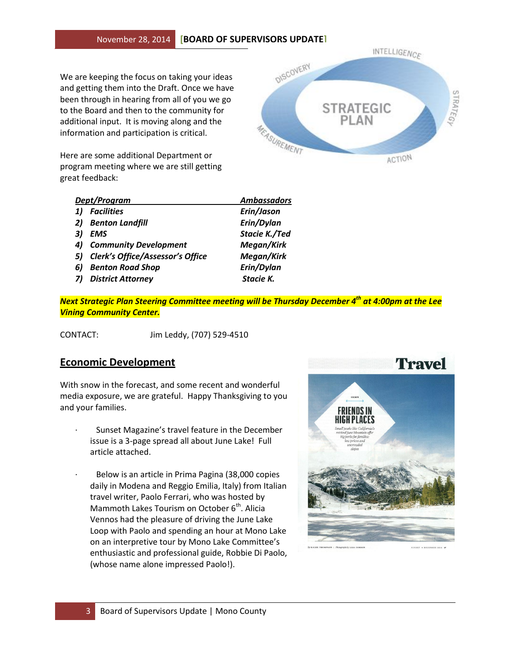### November 28, 2014 **[BOARD OF SUPERVISORS UPDATE]**

We are keeping the focus on taking your ideas and getting them into the Draft. Once we have been through in hearing from all of you we go to the Board and then to the community for additional input. It is moving along and the information and participation is critical.

Here are some additional Department or program meeting where we are still getting great feedback:



| Dept/Program |                                     | <b>Ambassadors</b>   |
|--------------|-------------------------------------|----------------------|
| 1)           | <b>Facilities</b>                   | Erin/Jason           |
|              | 2) Benton Landfill                  | Erin/Dylan           |
| 31           | <b>EMS</b>                          | <b>Stacie K./Ted</b> |
| 4)           | <b>Community Development</b>        | Megan/Kirk           |
|              | 5) Clerk's Office/Assessor's Office | Megan/Kirk           |
| 6)           | <b>Benton Road Shop</b>             | Erin/Dylan           |
|              | <b>District Attorney</b>            | Stacie K.            |

*Next Strategic Plan Steering Committee meeting will be Thursday December 4th at 4:00pm at the Lee Vining Community Center.* 

CONTACT: Jim Leddy, (707) 529-4510

## **Economic Development**

With snow in the forecast, and some recent and wonderful media exposure, we are grateful. Happy Thanksgiving to you and your families.

- Sunset Magazine's travel feature in the December issue is a 3-page spread all about June Lake! Full article attached.
- Below is an article in Prima Pagina (38,000 copies daily in Modena and Reggio Emilia, Italy) from Italian travel writer, Paolo Ferrari, who was hosted by Mammoth Lakes Tourism on October  $6<sup>th</sup>$ . Alicia Vennos had the pleasure of driving the June Lake Loop with Paolo and spending an hour at Mono Lake on an interpretive tour by Mono Lake Committee's enthusiastic and professional guide, Robbie Di Paolo, (whose name alone impressed Paolo!).

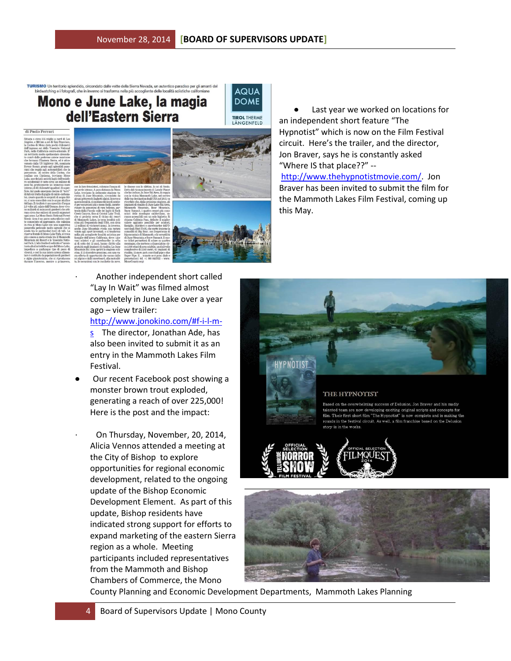# RISMO Un territorio splendido, circondato dalle vette della Sierra Nevada, un autentico paradiso per gli amanti del<br>birdwatching e i fotografi, che in inverno si trasforma nella più accogliente delle località sciistiche ca Mono e June Lake, la magia dell'Eastern Sierra



this May.



· Another independent short called "Lay In Wait" was filmed almost completely in June Lake over a year ago – view trailer:

[http://www.jonokino.com/#f-i-l-m](http://www.jonokino.com/#f-i-l-m-s)[s](http://www.jonokino.com/#f-i-l-m-s) The director, Jonathan Ade, has also been invited to submit it as an entry in the Mammoth Lakes Film Festival.

- Our recent Facebook post showing a monster brown trout exploded, generating a reach of over 225,000! Here is the post and the impact:
	- · On Thursday, November, 20, 2014, Alicia Vennos attended a meeting at the City of Bishop to explore opportunities for regional economic development, related to the ongoing update of the Bishop Economic Development Element. As part of this update, Bishop residents have indicated strong support for efforts to expand marketing of the eastern Sierra region as a whole. Meeting participants included representatives from the Mammoth and Bishop Chambers of Commerce, the Mono

 Last year we worked on locations for an independent short feature "The Hypnotist" which is now on the Film Festival circuit. Here's the trailer, and the director, Jon Braver, says he is constantly asked "Where IS that place??" - [http://www.thehypnotistmovie.com/.](http://www.thehypnotistmovie.com/) Jon Braver has been invited to submit the film for

the Mammoth Lakes Film Festival, coming up



#### THE HYPNOTIST

d on the overwhelming success of Delusion. Jon Braver and his d team are now developing exciting original scripts and concep film. Their first short film "The Hypnotist" is now complete and is mak .<br>rounds in the festival circuit. story is in the works





County Planning and Economic Development Departments, Mammoth Lakes Planning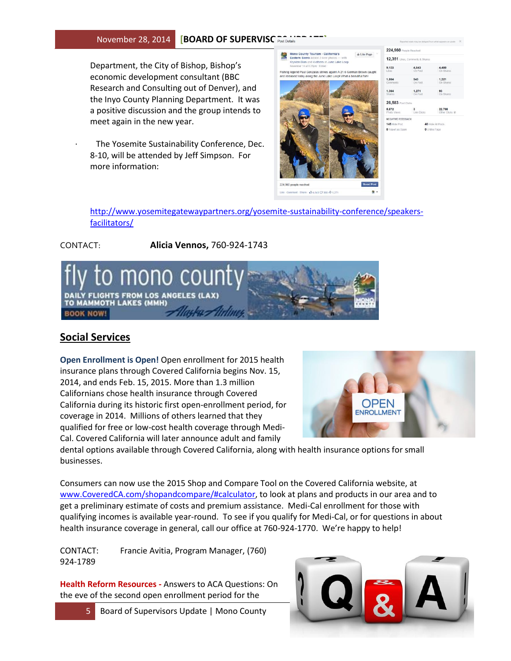#### **November 28, 2014 | BOARD OF SUPERVISC** POSt Dotal

Department, the City of Bishop, Bishop's economic development consultant (BBC Research and Consulting out of Denver), and the Inyo County Planning Department. It was a positive discussion and the group intends to meet again in the new year.

The Yosemite Sustainability Conference, Dec. 8-10, will be attended by Jeff Simpson. For more information:



| 224,960 People Reached |                                 |                  |
|------------------------|---------------------------------|------------------|
|                        | 12,351 Likes, Comments & Shares |                  |
| 9,123                  | 4,643                           | 4.480            |
| <b>Eikne</b>           | On Post                         | On Shares        |
| 1,864                  | 543                             | 1.321            |
| Comments               | On Post                         | On Shares        |
| 1.364                  | 1.271                           | 93               |
| <b>Shares</b>          | On Post                         | On Shares        |
| 28,583 Post Clicks     |                                 |                  |
| 5,872                  | $\mathbf{3}$                    | 22,708           |
| Photo Views            | Link Clicks                     | Other Clicks (2) |

[http://www.yosemitegatewaypartners.org/yosemite-sustainability-conference/speakers](http://www.yosemitegatewaypartners.org/yosemite-sustainability-conference/speakers-facilitators/)[facilitators/](http://www.yosemitegatewaypartners.org/yosemite-sustainability-conference/speakers-facilitators/)

CONTACT: **Alicia Vennos,** 760-924-1743



## **Social Services**

**Open Enrollment is Open!** Open enrollment for 2015 health insurance plans through Covered California begins Nov. 15, 2014, and ends Feb. 15, 2015. More than 1.3 million Californians chose health insurance through Covered California during its historic first open-enrollment period, for coverage in 2014. Millions of others learned that they qualified for free or low-cost health coverage through Medi-Cal. Covered California will later announce adult and family



dental options available through Covered California, along with health insurance options for small businesses.

Consumers can now use the 2015 Shop and Compare Tool on the Covered California website, at [www.CoveredCA.com/shopandcompare/#calculator,](http://www.coveredca.com/shopandcompare/#calculator) to look at plans and products in our area and to get a preliminary estimate of costs and premium assistance. Medi-Cal enrollment for those with qualifying incomes is available year-round. To see if you qualify for Medi-Cal, or for questions in about health insurance coverage in general, call our office at 760-924-1770. We're happy to help!

CONTACT: Francie Avitia, Program Manager, (760) 924-1789

**Health Reform Resources -** Answers to ACA Questions: On the eve of the second open enrollment period for the

5 Board of Supervisors Update | Mono County

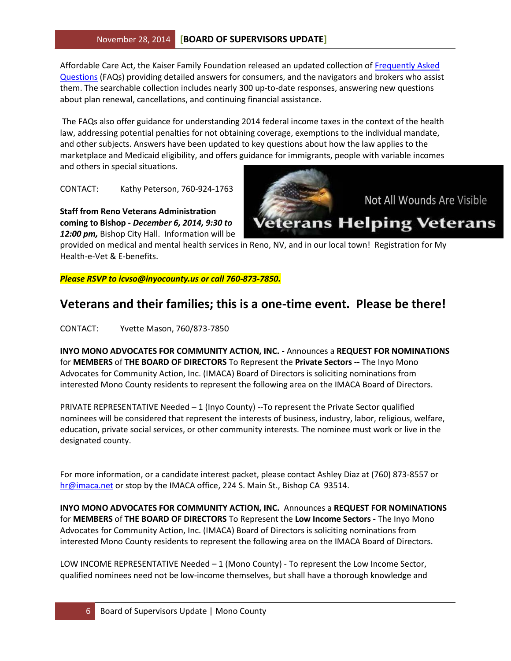Affordable Care Act, the Kaiser Family Foundation released an updated collection of [Frequently Asked](http://r20.rs6.net/tn.jsp?f=001mOUk5lmHxQLiyOUK04mFrC-T1sTgr7cr047oCRFjoCnX53laOhplKSLudAKzJA9uulB_tPqOREaCexM62ouz_rgzLkryUQsGFD6XsET2PSem327rwCGq2nb3Za84Rwx-YgTLzyh7ctKFgDYDFLbAgnIlx3KinmTWXCm8hw33winsS3jrLJaNXUdBsrl3JgphRu-8EeTCmECN0dQiIPVk6oRFywD8xirT6F9hlOrkMyNWmSj8h9OwjXEU95dTJSVaF2mzKhXrmsI9UeDovlAw4gu4Csq22Hei2FVK3PC8rgooVfHPNF-P1Fflz193h3cLb5SuHX136IH2p5wC8jDV2bomtBtzQMEGIsupJFupSb15JG6ny4LQL3qwoztjR7fptvZzXjGOYWLXK0UJzgoJMw8lJlMyV-KxRvVbf-RzvHlS1XFd7Jo1WRU_X_JGVuA-xM4QyHWumOWwztEjUwXSxquNnf2S8eUrpb_u5q_qByoQGWtI3rDJ9PfC1ZqomDy9-YVLiymXzgOk5Xw7HOFnuH4fFdDlHr67CmevJWH8ZiY-B7Be6NVKUTrMOPZq0tFD&c=96sSMha9YY_EeBgYd04FHiggb1q_XaiUmvgewrpgz0sKDa2tb_JK0g==&ch=ewrLqC-wdvbkkp3KanhnqW4oQmKytQc0iBYLl7uSl_bhuFM0FwKTOQ==)  [Questions](http://r20.rs6.net/tn.jsp?f=001mOUk5lmHxQLiyOUK04mFrC-T1sTgr7cr047oCRFjoCnX53laOhplKSLudAKzJA9uulB_tPqOREaCexM62ouz_rgzLkryUQsGFD6XsET2PSem327rwCGq2nb3Za84Rwx-YgTLzyh7ctKFgDYDFLbAgnIlx3KinmTWXCm8hw33winsS3jrLJaNXUdBsrl3JgphRu-8EeTCmECN0dQiIPVk6oRFywD8xirT6F9hlOrkMyNWmSj8h9OwjXEU95dTJSVaF2mzKhXrmsI9UeDovlAw4gu4Csq22Hei2FVK3PC8rgooVfHPNF-P1Fflz193h3cLb5SuHX136IH2p5wC8jDV2bomtBtzQMEGIsupJFupSb15JG6ny4LQL3qwoztjR7fptvZzXjGOYWLXK0UJzgoJMw8lJlMyV-KxRvVbf-RzvHlS1XFd7Jo1WRU_X_JGVuA-xM4QyHWumOWwztEjUwXSxquNnf2S8eUrpb_u5q_qByoQGWtI3rDJ9PfC1ZqomDy9-YVLiymXzgOk5Xw7HOFnuH4fFdDlHr67CmevJWH8ZiY-B7Be6NVKUTrMOPZq0tFD&c=96sSMha9YY_EeBgYd04FHiggb1q_XaiUmvgewrpgz0sKDa2tb_JK0g==&ch=ewrLqC-wdvbkkp3KanhnqW4oQmKytQc0iBYLl7uSl_bhuFM0FwKTOQ==) (FAQs) providing detailed answers for consumers, and the navigators and brokers who assist them. The searchable collection includes nearly 300 up-to-date responses, answering new questions about plan renewal, cancellations, and continuing financial assistance.

The FAQs also offer guidance for understanding 2014 federal income taxes in the context of the health law, addressing potential penalties for not obtaining coverage, exemptions to the individual mandate, and other subjects. Answers have been updated to key questions about how the law applies to the marketplace and Medicaid eligibility, and offers guidance for immigrants, people with variable incomes and others in special situations.

CONTACT: Kathy Peterson, 760-924-1763

**Staff from Reno Veterans Administration coming to Bishop -** *December 6, 2014, 9:30 to 12:00 pm,* Bishop City Hall. Information will be

provided on medical and mental health services in Reno, NV, and in our local town! Registration for My Health-e-Vet & E-benefits.

*Please RSVP to [icvso@inyocounty.us](mailto:icvso@inyocounty.us) or call 760-873-7850.*

# **Veterans and their families; this is a one-time event. Please be there!**

CONTACT: Yvette Mason, 760/873-7850

**INYO MONO ADVOCATES FOR COMMUNITY ACTION, INC. -** Announces a **REQUEST FOR NOMINATIONS** for **MEMBERS** of **THE BOARD OF DIRECTORS** To Represent the **Private Sectors --** The Inyo Mono Advocates for Community Action, Inc. (IMACA) Board of Directors is soliciting nominations from interested Mono County residents to represent the following area on the IMACA Board of Directors.

PRIVATE REPRESENTATIVE Needed – 1 (Inyo County) --To represent the Private Sector qualified nominees will be considered that represent the interests of business, industry, labor, religious, welfare, education, private social services, or other community interests. The nominee must work or live in the designated county.

For more information, or a candidate interest packet, please contact Ashley Diaz at (760) 873-8557 or [hr@imaca.net](mailto:hr@imaca.net) or stop by the IMACA office, 224 S. Main St., Bishop CA 93514.

**INYO MONO ADVOCATES FOR COMMUNITY ACTION, INC.** Announces a **REQUEST FOR NOMINATIONS** for **MEMBERS** of **THE BOARD OF DIRECTORS** To Represent the **Low Income Sectors -** The Inyo Mono Advocates for Community Action, Inc. (IMACA) Board of Directors is soliciting nominations from interested Mono County residents to represent the following area on the IMACA Board of Directors.

LOW INCOME REPRESENTATIVE Needed – 1 (Mono County) - To represent the Low Income Sector, qualified nominees need not be low-income themselves, but shall have a thorough knowledge and